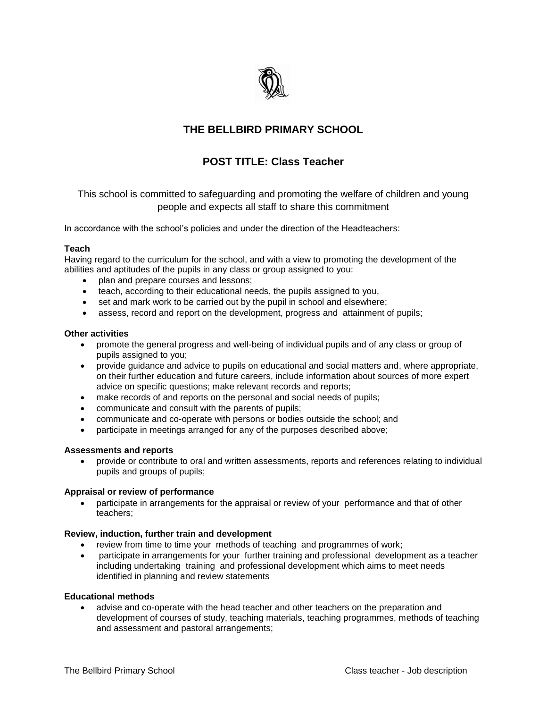

# **THE BELLBIRD PRIMARY SCHOOL**

# **POST TITLE: Class Teacher**

This school is committed to safeguarding and promoting the welfare of children and young people and expects all staff to share this commitment

In accordance with the school's policies and under the direction of the Headteachers:

# **Teach**

Having regard to the curriculum for the school, and with a view to promoting the development of the abilities and aptitudes of the pupils in any class or group assigned to you:

- plan and prepare courses and lessons;
- teach, according to their educational needs, the pupils assigned to you,
- set and mark work to be carried out by the pupil in school and elsewhere;
- assess, record and report on the development, progress and attainment of pupils;

# **Other activities**

- promote the general progress and well-being of individual pupils and of any class or group of pupils assigned to you;
- provide guidance and advice to pupils on educational and social matters and, where appropriate, on their further education and future careers, include information about sources of more expert advice on specific questions; make relevant records and reports;
- make records of and reports on the personal and social needs of pupils;
- communicate and consult with the parents of pupils;
- communicate and co-operate with persons or bodies outside the school; and
- participate in meetings arranged for any of the purposes described above;

## **Assessments and reports**

 provide or contribute to oral and written assessments, reports and references relating to individual pupils and groups of pupils;

## **Appraisal or review of performance**

 participate in arrangements for the appraisal or review of your performance and that of other teachers;

## **Review, induction, further train and development**

- review from time to time your methods of teaching and programmes of work;
- participate in arrangements for your further training and professional development as a teacher including undertaking training and professional development which aims to meet needs identified in planning and review statements

## **Educational methods**

 advise and co-operate with the head teacher and other teachers on the preparation and development of courses of study, teaching materials, teaching programmes, methods of teaching and assessment and pastoral arrangements;